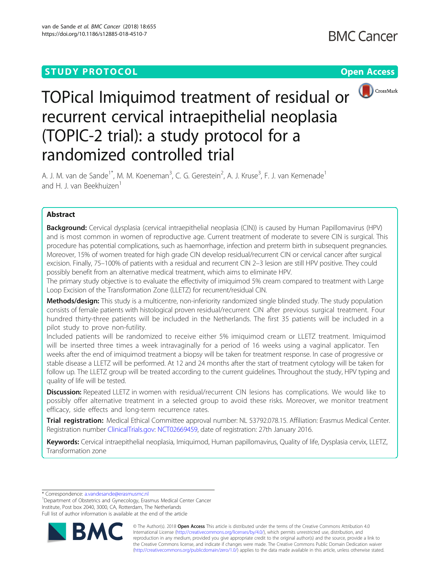# **STUDY PROTOCOL CONSUMING THE CONSUMING THE CONSUMING TEAM CONSUMING THE CONSUMING TEAM CONSUMING THE CONSUMING TEAM**



# TOPical Imiquimod treatment of residual or recurrent cervical intraepithelial neoplasia (TOPIC-2 trial): a study protocol for a randomized controlled trial

A. J. M. van de Sande<sup>1\*</sup>, M. M. Koeneman<sup>3</sup>, C. G. Gerestein<sup>2</sup>, A. J. Kruse<sup>3</sup>, F. J. van Kemenade<sup>1</sup> and H. J. van Beekhuizen<sup>1</sup>

# Abstract

Background: Cervical dysplasia (cervical intraepithelial neoplasia (CIN)) is caused by Human Papillomavirus (HPV) and is most common in women of reproductive age. Current treatment of moderate to severe CIN is surgical. This procedure has potential complications, such as haemorrhage, infection and preterm birth in subsequent pregnancies. Moreover, 15% of women treated for high grade CIN develop residual/recurrent CIN or cervical cancer after surgical excision. Finally, 75–100% of patients with a residual and recurrent CIN 2–3 lesion are still HPV positive. They could possibly benefit from an alternative medical treatment, which aims to eliminate HPV.

The primary study objective is to evaluate the effectivity of imiquimod 5% cream compared to treatment with Large Loop Excision of the Transformation Zone (LLETZ) for recurrent/residual CIN.

Methods/design: This study is a multicentre, non-inferiority randomized single blinded study. The study population consists of female patients with histological proven residual/recurrent CIN after previous surgical treatment. Four hundred thirty-three patients will be included in the Netherlands. The first 35 patients will be included in a pilot study to prove non-futility.

Included patients will be randomized to receive either 5% imiquimod cream or LLETZ treatment. Imiquimod will be inserted three times a week intravaginally for a period of 16 weeks using a vaginal applicator. Ten weeks after the end of imiquimod treatment a biopsy will be taken for treatment response. In case of progressive or stable disease a LLETZ will be performed. At 12 and 24 months after the start of treatment cytology will be taken for follow up. The LLETZ group will be treated according to the current guidelines. Throughout the study, HPV typing and quality of life will be tested.

Discussion: Repeated LLETZ in women with residual/recurrent CIN lesions has complications. We would like to possibly offer alternative treatment in a selected group to avoid these risks. Moreover, we monitor treatment efficacy, side effects and long-term recurrence rates.

Trial registration: Medical Ethical Committee approval number: NL 53792.078.15. Affiliation: Erasmus Medical Center. Registration number [ClinicalTrials.gov](http://clinicaltrials.gov): [NCT02669459](https://clinicaltrials.gov/ct2/show/NCT02669459), date of registration: 27th January 2016.

Keywords: Cervical intraepithelial neoplasia, Imiquimod, Human papillomavirus, Quality of life, Dysplasia cervix, LLETZ, Transformation zone

\* Correspondence: [a.vandesande@erasmusmc.nl](mailto:a.vandesande@erasmusmc.nl) <sup>1</sup>

<sup>1</sup>Department of Obstetrics and Gynecology, Erasmus Medical Center Cancer Institute, Post box 2040, 3000, CA, Rotterdam, The Netherlands Full list of author information is available at the end of the article



© The Author(s). 2018 Open Access This article is distributed under the terms of the Creative Commons Attribution 4.0 International License [\(http://creativecommons.org/licenses/by/4.0/](http://creativecommons.org/licenses/by/4.0/)), which permits unrestricted use, distribution, and reproduction in any medium, provided you give appropriate credit to the original author(s) and the source, provide a link to the Creative Commons license, and indicate if changes were made. The Creative Commons Public Domain Dedication waiver [\(http://creativecommons.org/publicdomain/zero/1.0/](http://creativecommons.org/publicdomain/zero/1.0/)) applies to the data made available in this article, unless otherwise stated.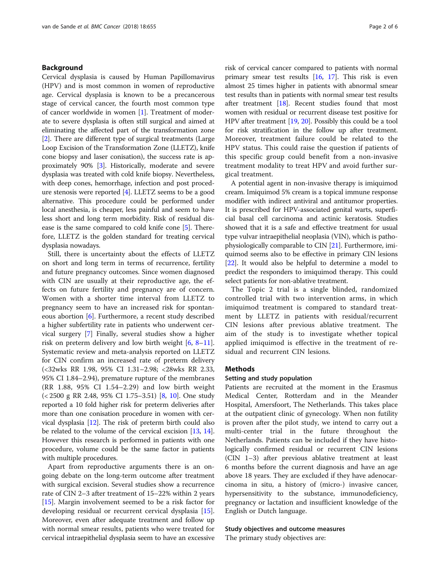#### Background

Cervical dysplasia is caused by Human Papillomavirus (HPV) and is most common in women of reproductive age. Cervical dysplasia is known to be a precancerous stage of cervical cancer, the fourth most common type of cancer worldwide in women [\[1](#page-4-0)]. Treatment of moderate to severe dysplasia is often still surgical and aimed at eliminating the affected part of the transformation zone [[2\]](#page-4-0). There are different type of surgical treatments (Large Loop Excision of the Transformation Zone (LLETZ), knife cone biopsy and laser conisation), the success rate is approximately 90% [\[3](#page-4-0)]. Historically, moderate and severe dysplasia was treated with cold knife biopsy. Nevertheless, with deep cones, hemorrhage, infection and post procedure stenosis were reported [[4\]](#page-4-0). LLETZ seems to be a good alternative. This procedure could be performed under local anesthesia, is cheaper, less painful and seem to have less short and long term morbidity. Risk of residual disease is the same compared to cold knife cone [[5\]](#page-4-0). Therefore, LLETZ is the golden standard for treating cervical dysplasia nowadays.

Still, there is uncertainty about the effects of LLETZ on short and long term in terms of recurrence, fertility and future pregnancy outcomes. Since women diagnosed with CIN are usually at their reproductive age, the effects on future fertility and pregnancy are of concern. Women with a shorter time interval from LLETZ to pregnancy seem to have an increased risk for spontaneous abortion [\[6](#page-4-0)]. Furthermore, a recent study described a higher subfertility rate in patients who underwent cervical surgery [[7\]](#page-4-0) Finally, several studies show a higher risk on preterm delivery and low birth weight [\[6,](#page-4-0) [8](#page-4-0)–[11](#page-5-0)]. Systematic review and meta-analysis reported on LLETZ for CIN confirm an increased rate of preterm delivery (<32wks RR 1.98, 95% CI 1.31–2.98; <28wks RR 2.33, 95% CI 1.84–2.94), premature rupture of the membranes (RR 1.88, 95% CI 1.54–2.29) and low birth weight (< 2500 g RR 2.48, 95% CI 1.75–3.51) [[8,](#page-4-0) [10](#page-4-0)]. One study reported a 10 fold higher risk for preterm deliveries after more than one conisation procedure in women with cervical dysplasia [\[12\]](#page-5-0). The risk of preterm birth could also be related to the volume of the cervical excision [[13](#page-5-0), [14](#page-5-0)]. However this research is performed in patients with one procedure, volume could be the same factor in patients with multiple procedures.

Apart from reproductive arguments there is an ongoing debate on the long-term outcome after treatment with surgical excision. Several studies show a recurrence rate of CIN 2–3 after treatment of 15–22% within 2 years [[15\]](#page-5-0). Margin involvement seemed to be a risk factor for developing residual or recurrent cervical dysplasia [\[15](#page-5-0)]. Moreover, even after adequate treatment and follow up with normal smear results, patients who were treated for cervical intraepithelial dysplasia seem to have an excessive

risk of cervical cancer compared to patients with normal primary smear test results [[16](#page-5-0), [17\]](#page-5-0). This risk is even almost 25 times higher in patients with abnormal smear test results than in patients with normal smear test results after treatment [[18](#page-5-0)]. Recent studies found that most women with residual or recurrent disease test positive for HPV after treatment [\[19,](#page-5-0) [20](#page-5-0)]. Possibly this could be a tool for risk stratification in the follow up after treatment. Moreover, treatment failure could be related to the HPV status. This could raise the question if patients of this specific group could benefit from a non-invasive treatment modality to treat HPV and avoid further surgical treatment.

A potential agent in non-invasive therapy is imiquimod cream. Imiquimod 5% cream is a topical immune response modifier with indirect antiviral and antitumor properties. It is prescribed for HPV-associated genital warts, superficial basal cell carcinoma and actinic keratosis. Studies showed that it is a safe and effective treatment for usual type vulvar intraepithelial neoplasia (VIN), which is pathophysiologically comparable to CIN [[21](#page-5-0)]. Furthermore, imiquimod seems also to be effective in primary CIN lesions [[22](#page-5-0)]. It would also be helpful to determine a model to predict the responders to imiquimod therapy. This could select patients for non-ablative treatment.

The Topic 2 trial is a single blinded, randomized controlled trial with two intervention arms, in which imiquimod treatment is compared to standard treatment by LLETZ in patients with residual/recurrent CIN lesions after previous ablative treatment. The aim of the study is to investigate whether topical applied imiquimod is effective in the treatment of residual and recurrent CIN lesions.

#### Methods

#### Setting and study population

Patients are recruited at the moment in the Erasmus Medical Center, Rotterdam and in the Meander Hospital, Amersfoort, The Netherlands. This takes place at the outpatient clinic of gynecology. When non futility is proven after the pilot study, we intend to carry out a multi-center trial in the future throughout the Netherlands. Patients can be included if they have histologically confirmed residual or recurrent CIN lesions (CIN 1–3) after previous ablative treatment at least 6 months before the current diagnosis and have an age above 18 years. They are excluded if they have adenocarcinoma in situ, a history of (micro-) invasive cancer, hypersensitivity to the substance, immunodeficiency, pregnancy or lactation and insufficient knowledge of the English or Dutch language.

# Study objectives and outcome measures

The primary study objectives are: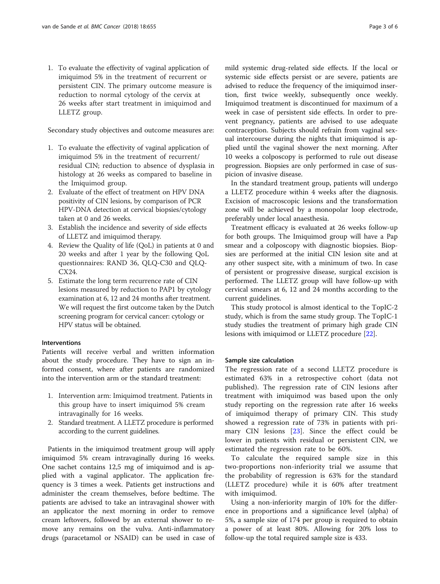1. To evaluate the effectivity of vaginal application of imiquimod 5% in the treatment of recurrent or persistent CIN. The primary outcome measure is reduction to normal cytology of the cervix at 26 weeks after start treatment in imiquimod and LLETZ group.

Secondary study objectives and outcome measures are:

- 1. To evaluate the effectivity of vaginal application of imiquimod 5% in the treatment of recurrent/ residual CIN; reduction to absence of dysplasia in histology at 26 weeks as compared to baseline in the Imiquimod group.
- 2. Evaluate of the effect of treatment on HPV DNA positivity of CIN lesions, by comparison of PCR HPV-DNA detection at cervical biopsies/cytology taken at 0 and 26 weeks.
- 3. Establish the incidence and severity of side effects of LLETZ and imiquimod therapy.
- 4. Review the Quality of life (QoL) in patients at 0 and 20 weeks and after 1 year by the following QoL questionnaires: RAND 36, QLQ-C30 and QLQ-CX24.
- 5. Estimate the long term recurrence rate of CIN lesions measured by reduction to PAP1 by cytology examination at 6, 12 and 24 months after treatment. We will request the first outcome taken by the Dutch screening program for cervical cancer: cytology or HPV status will be obtained.

#### Interventions

Patients will receive verbal and written information about the study procedure. They have to sign an informed consent, where after patients are randomized into the intervention arm or the standard treatment:

- 1. Intervention arm: Imiquimod treatment. Patients in this group have to insert imiquimod 5% cream intravaginally for 16 weeks.
- 2. Standard treatment. A LLETZ procedure is performed according to the current guidelines.

Patients in the imiquimod treatment group will apply imiquimod 5% cream intravaginally during 16 weeks. One sachet contains 12,5 mg of imiquimod and is applied with a vaginal applicator. The application frequency is 3 times a week. Patients get instructions and administer the cream themselves, before bedtime. The patients are advised to take an intravaginal shower with an applicator the next morning in order to remove cream leftovers, followed by an external shower to remove any remains on the vulva. Anti-inflammatory drugs (paracetamol or NSAID) can be used in case of

mild systemic drug-related side effects. If the local or systemic side effects persist or are severe, patients are advised to reduce the frequency of the imiquimod insertion, first twice weekly, subsequently once weekly. Imiquimod treatment is discontinued for maximum of a week in case of persistent side effects. In order to prevent pregnancy, patients are advised to use adequate contraception. Subjects should refrain from vaginal sexual intercourse during the nights that imiquimod is applied until the vaginal shower the next morning. After 10 weeks a colposcopy is performed to rule out disease progression. Biopsies are only performed in case of suspicion of invasive disease.

In the standard treatment group, patients will undergo a LLETZ procedure within 4 weeks after the diagnosis. Excision of macroscopic lesions and the transformation zone will be achieved by a monopolar loop electrode, preferably under local anaesthesia.

Treatment efficacy is evaluated at 26 weeks follow-up for both groups. The Imiquimod group will have a Pap smear and a colposcopy with diagnostic biopsies. Biopsies are performed at the initial CIN lesion site and at any other suspect site, with a minimum of two. In case of persistent or progressive disease, surgical excision is performed. The LLETZ group will have follow-up with cervical smears at 6, 12 and 24 months according to the current guidelines.

This study protocol is almost identical to the TopIC-2 study, which is from the same study group. The TopIC-1 study studies the treatment of primary high grade CIN lesions with imiquimod or LLETZ procedure [\[22](#page-5-0)].

#### Sample size calculation

The regression rate of a second LLETZ procedure is estimated 63% in a retrospective cohort (data not published). The regression rate of CIN lesions after treatment with imiquimod was based upon the only study reporting on the regression rate after 16 weeks of imiquimod therapy of primary CIN. This study showed a regression rate of 73% in patients with primary CIN lesions [\[23](#page-5-0)]. Since the effect could be lower in patients with residual or persistent CIN, we estimated the regression rate to be 60%.

To calculate the required sample size in this two-proportions non-inferiority trial we assume that the probability of regression is 63% for the standard (LLETZ procedure) while it is 60% after treatment with imiquimod.

Using a non-inferiority margin of 10% for the difference in proportions and a significance level (alpha) of 5%, a sample size of 174 per group is required to obtain a power of at least 80%. Allowing for 20% loss to follow-up the total required sample size is 433.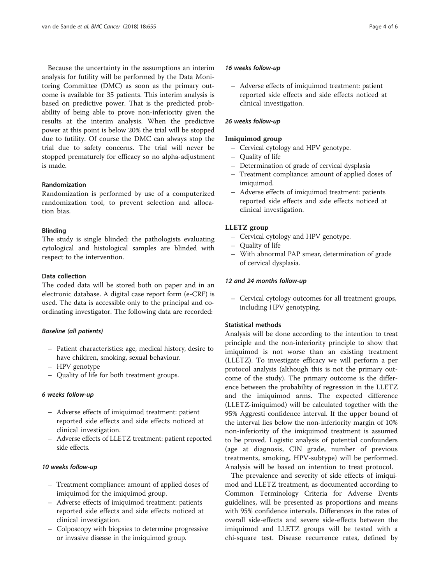Because the uncertainty in the assumptions an interim analysis for futility will be performed by the Data Monitoring Committee (DMC) as soon as the primary outcome is available for 35 patients. This interim analysis is based on predictive power. That is the predicted probability of being able to prove non-inferiority given the results at the interim analysis. When the predictive power at this point is below 20% the trial will be stopped due to futility. Of course the DMC can always stop the trial due to safety concerns. The trial will never be stopped prematurely for efficacy so no alpha-adjustment is made.

#### Randomization

Randomization is performed by use of a computerized randomization tool, to prevent selection and allocation bias.

#### Blinding

The study is single blinded: the pathologists evaluating cytological and histological samples are blinded with respect to the intervention.

#### Data collection

The coded data will be stored both on paper and in an electronic database. A digital case report form (e-CRF) is used. The data is accessible only to the principal and coordinating investigator. The following data are recorded:

### Baseline (all patients)

- Patient characteristics: age, medical history, desire to have children, smoking, sexual behaviour.
- HPV genotype
- Quality of life for both treatment groups.

#### 6 weeks follow-up

- Adverse effects of imiquimod treatment: patient reported side effects and side effects noticed at clinical investigation.
- Adverse effects of LLETZ treatment: patient reported side effects.

#### 10 weeks follow-up

- Treatment compliance: amount of applied doses of imiquimod for the imiquimod group.
- Adverse effects of imiquimod treatment: patients reported side effects and side effects noticed at clinical investigation.
- Colposcopy with biopsies to determine progressive or invasive disease in the imiquimod group.

#### 16 weeks follow-up

– Adverse effects of imiquimod treatment: patient reported side effects and side effects noticed at clinical investigation.

## 26 weeks follow-up

#### Imiquimod group

- Cervical cytology and HPV genotype.
- Quality of life
- Determination of grade of cervical dysplasia
- Treatment compliance: amount of applied doses of imiquimod.
- Adverse effects of imiquimod treatment: patients reported side effects and side effects noticed at clinical investigation.

### LLETZ group

- Cervical cytology and HPV genotype.
- Quality of life
- With abnormal PAP smear, determination of grade of cervical dysplasia.

#### 12 and 24 months follow-up

– Cervical cytology outcomes for all treatment groups, including HPV genotyping.

#### Statistical methods

Analysis will be done according to the intention to treat principle and the non-inferiority principle to show that imiquimod is not worse than an existing treatment (LLETZ). To investigate efficacy we will perform a per protocol analysis (although this is not the primary outcome of the study). The primary outcome is the difference between the probability of regression in the LLETZ and the imiquimod arms. The expected difference (LLETZ-imiquimod) will be calculated together with the 95% Aggresti confidence interval. If the upper bound of the interval lies below the non-inferiority margin of 10% non-inferiority of the imiquimod treatment is assumed to be proved. Logistic analysis of potential confounders (age at diagnosis, CIN grade, number of previous treatments, smoking, HPV-subtype) will be performed. Analysis will be based on intention to treat protocol.

The prevalence and severity of side effects of imiquimod and LLETZ treatment, as documented according to Common Terminology Criteria for Adverse Events guidelines, will be presented as proportions and means with 95% confidence intervals. Differences in the rates of overall side-effects and severe side-effects between the imiquimod and LLETZ groups will be tested with a chi-square test. Disease recurrence rates, defined by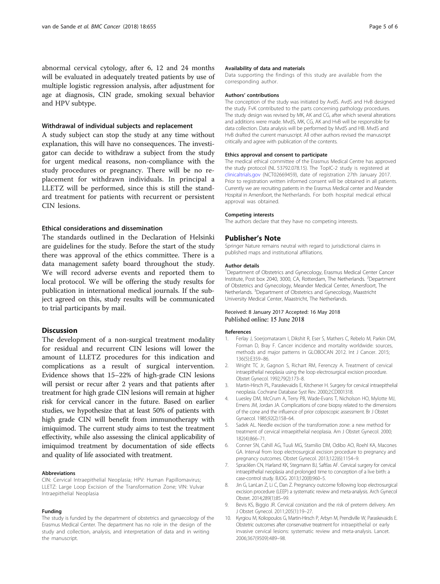<span id="page-4-0"></span>abnormal cervical cytology, after 6, 12 and 24 months will be evaluated in adequately treated patients by use of multiple logistic regression analysis, after adjustment for age at diagnosis, CIN grade, smoking sexual behavior and HPV subtype.

#### Withdrawal of individual subjects and replacement

A study subject can stop the study at any time without explanation, this will have no consequences. The investigator can decide to withdraw a subject from the study for urgent medical reasons, non-compliance with the study procedures or pregnancy. There will be no replacement for withdrawn individuals. In principal a LLETZ will be performed, since this is still the standard treatment for patients with recurrent or persistent CIN lesions.

#### Ethical considerations and dissemination

The standards outlined in the Declaration of Helsinki are guidelines for the study. Before the start of the study there was approval of the ethics committee. There is a data management safety board throughout the study. We will record adverse events and reported them to local protocol. We will be offering the study results for publication in international medical journals. If the subject agreed on this, study results will be communicated to trial participants by mail.

#### **Discussion**

The development of a non-surgical treatment modality for residual and recurrent CIN lesions will lower the amount of LLETZ procedures for this indication and complications as a result of surgical intervention. Evidence shows that 15–22% of high-grade CIN lesions will persist or recur after 2 years and that patients after treatment for high grade CIN lesions will remain at higher risk for cervical cancer in the future. Based on earlier studies, we hypothesize that at least 50% of patients with high grade CIN will benefit from immunotherapy with imiquimod. The current study aims to test the treatment effectivity, while also assessing the clinical applicability of imiquimod treatment by documentation of side effects and quality of life associated with treatment.

#### Abbreviations

CIN: Cervical Intraepithelial Neoplasia; HPV: Human Papillomavirus; LLETZ: Large Loop Excision of the Transformation Zone; VIN: Vulvar Intraepithelial Neoplasia

#### Funding

The study is funded by the department of obstetrics and gynaecology of the Erasmus Medical Center. The department has no role in the design of the study and collection, analysis, and interpretation of data and in writing the manuscript.

#### Availability of data and materials

Data supporting the findings of this study are available from the corresponding author.

#### Authors' contributions

The conception of the study was initiated by AvdS. AvdS and HvB designed the study. FvK contributed to the parts concerning pathology procedures. The study design was revised by MK, AK and CG, after which several alterations and additions were made. MvdS, MK, CG, AK and HvB will be responsible for data collection. Data analysis will be performed by MvdS and HB. MvdS and HvB drafted the current manuscript. All other authors revised the manuscript critically and agree with publication of the contents.

#### Ethics approval and consent to participate

The medical ethical committee of the Erasmus Medical Centre has approved the study protocol (NL 53792.078.15). The TopIC-2 study is registered at [clinicaltrials.gov](http://clinicaltrials.gov) (NCT02669459), date of registration 27th January 2017. Prior to registration written informed consent will be obtained in all patients. Currently we are recruiting patients in the Erasmus Medical center and Meander Hospital in Amersfoort, the Netherlands. For both hospital medical ethical approval was obtained.

#### Competing interests

The authors declare that they have no competing interests.

#### Publisher's Note

Springer Nature remains neutral with regard to jurisdictional claims in published maps and institutional affiliations.

#### Author details

<sup>1</sup>Department of Obstetrics and Gynecology, Erasmus Medical Center Cancer Institute, Post box 2040, 3000, CA, Rotterdam, The Netherlands. <sup>2</sup>Department of Obstetrics and Gynecology, Meander Medical Center, Amersfoort, The Netherlands. <sup>3</sup> Department of Obstetrics and Gynecology, Maastricht University Medical Center, Maastricht, The Netherlands.

#### Received: 8 January 2017 Accepted: 16 May 2018 Published online: 15 June 2018

#### References

- 1. Ferlay J, Soerjomataram I, Dikshit R, Eser S, Mathers C, Rebelo M, Parkin DM, Forman D, Bray F. Cancer incidence and mortality worldwide: sources, methods and major patterns in GLOBOCAN 2012. Int J Cancer. 2015; 136(5):E359–86.
- 2. Wright TC Jr, Gagnon S, Richart RM, Ferenczy A. Treatment of cervical intraepithelial neoplasia using the loop electrosurgical excision procedure. Obstet Gynecol. 1992;79(2):173–8.
- 3. Martin-Hirsch PL, Paraskevaidis E, Kitchener H. Surgery for cervical intraepithelial neoplasia. Cochrane Database Syst Rev. 2000;2:CD001318.
- 4. Luesley DM, McCrum A, Terry PB, Wade-Evans T, Nicholson HO, Mylotte MJ, Emens JM, Jordan JA. Complications of cone biopsy related to the dimensions of the cone and the influence of prior colposcopic assessment. Br J Obstet Gynaecol. 1985;92(2):158–64.
- 5. Sadek AL. Needle excision of the transformation zone: a new method for treatment of cervical intraepithelial neoplasia. Am J Obstet Gynecol. 2000; 182(4):866–71.
- 6. Conner SN, Cahill AG, Tuuli MG, Stamilio DM, Odibo AO, Roehl KA, Macones GA. Interval from loop electrosurgical excision procedure to pregnancy and pregnancy outcomes. Obstet Gynecol. 2013;122(6):1154–9.
- 7. Spracklen CN, Harland KK, Stegmann BJ, Saftlas AF. Cervical surgery for cervical intraepithelial neoplasia and prolonged time to conception of a live birth: a case-control study. BJOG. 2013;120(8):960–5.
- 8. Jin G, LanLan Z, Li C, Dan Z. Pregnancy outcome following loop electrosurgical excision procedure (LEEP) a systematic review and meta-analysis. Arch Gynecol Obstet. 2014;289(1):85–99.
- 9. Bevis KS, Biggio JR. Cervical conization and the risk of preterm delivery. Am J Obstet Gynecol. 2011;205(1):19–27.
- 10. Kyrgiou M, Koliopoulos G, Martin-Hirsch P, Arbyn M, Prendiville W, Paraskevaidis E. Obstetric outcomes after conservative treatment for intraepithelial or early invasive cervical lesions: systematic review and meta-analysis. Lancet. 2006;367(9509):489–98.